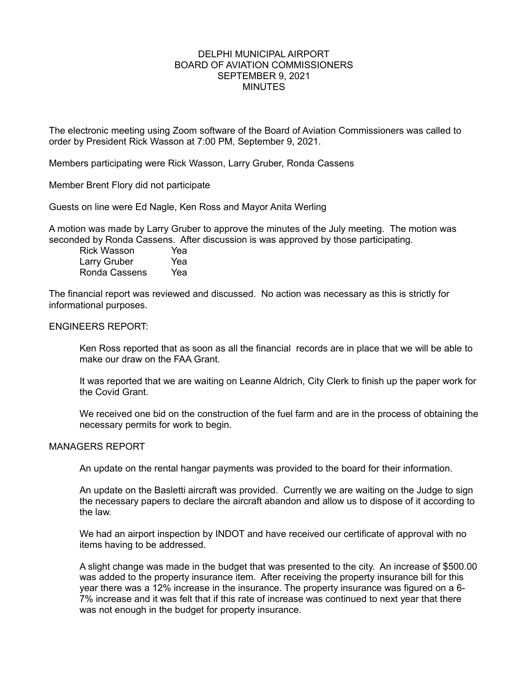### DELPHI MUNICIPAL AIRPORT BOARD OF AVIATION COMMISSIONERS SEPTEMBER 9, 2021 MINUTES

The electronic meeting using Zoom software of the Board of Aviation Commissioners was called to order by President Rick Wasson at 7:00 PM, September 9, 2021.

Members participating were Rick Wasson, Larry Gruber, Ronda Cassens

Member Brent Flory did not participate

Guests on line were Ed Nagle, Ken Ross and Mayor Anita Werling

A motion was made by Larry Gruber to approve the minutes of the July meeting. The motion was seconded by Ronda Cassens. After discussion is was approved by those participating.

Rick Wasson Yea Larry Gruber Yea Ronda Cassens Yea

The financial report was reviewed and discussed. No action was necessary as this is strictly for informational purposes.

## ENGINEERS REPORT:

Ken Ross reported that as soon as all the financial records are in place that we will be able to make our draw on the FAA Grant.

It was reported that we are waiting on Leanne Aldrich, City Clerk to finish up the paper work for the Covid Grant.

We received one bid on the construction of the fuel farm and are in the process of obtaining the necessary permits for work to begin.

### MANAGERS REPORT

An update on the rental hangar payments was provided to the board for their information.

An update on the Basletti aircraft was provided. Currently we are waiting on the Judge to sign the necessary papers to declare the aircraft abandon and allow us to dispose of it according to the law.

We had an airport inspection by INDOT and have received our certificate of approval with no items having to be addressed.

A slight change was made in the budget that was presented to the city. An increase of \$500.00 was added to the property insurance item. After receiving the property insurance bill for this year there was a 12% increase in the insurance. The property insurance was figured on a 6- 7% increase and it was felt that if this rate of increase was continued to next year that there was not enough in the budget for property insurance.